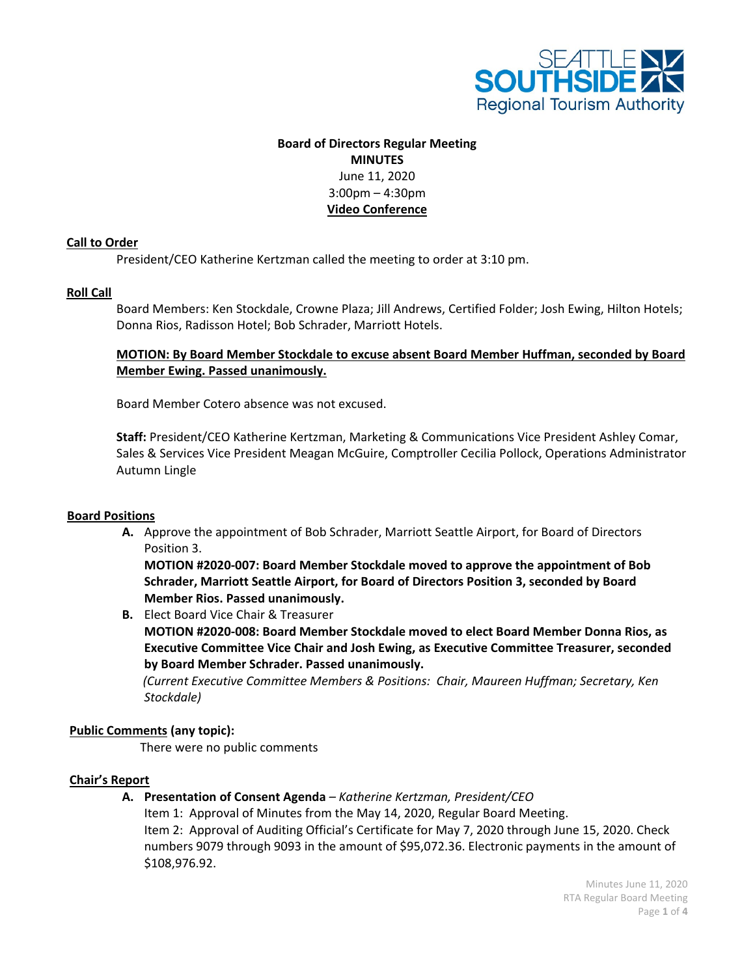

# **Board of Directors Regular Meeting MINUTES** June 11, 2020 3:00pm – 4:30pm **Video Conference**

### **Call to Order**

President/CEO Katherine Kertzman called the meeting to order at 3:10 pm.

### **Roll Call**

Board Members: Ken Stockdale, Crowne Plaza; Jill Andrews, Certified Folder; Josh Ewing, Hilton Hotels; Donna Rios, Radisson Hotel; Bob Schrader, Marriott Hotels.

# **MOTION: By Board Member Stockdale to excuse absent Board Member Huffman, seconded by Board Member Ewing. Passed unanimously.**

Board Member Cotero absence was not excused.

**Staff:** President/CEO Katherine Kertzman, Marketing & Communications Vice President Ashley Comar, Sales & Services Vice President Meagan McGuire, Comptroller Cecilia Pollock, Operations Administrator Autumn Lingle

### **Board Positions**

**A.** Approve the appointment of Bob Schrader, Marriott Seattle Airport, for Board of Directors Position 3.

**MOTION #2020-007: Board Member Stockdale moved to approve the appointment of Bob Schrader, Marriott Seattle Airport, for Board of Directors Position 3, seconded by Board Member Rios. Passed unanimously.**

**B.** Elect Board Vice Chair & Treasurer

**MOTION #2020-008: Board Member Stockdale moved to elect Board Member Donna Rios, as Executive Committee Vice Chair and Josh Ewing, as Executive Committee Treasurer, seconded by Board Member Schrader. Passed unanimously.**

 *(Current Executive Committee Members & Positions: Chair, Maureen Huffman; Secretary, Ken Stockdale)*

### **Public Comments (any topic):**

There were no public comments

### **Chair's Report**

**A. Presentation of Consent Agenda** *– Katherine Kertzman, President/CEO*

Item 1: Approval of Minutes from the May 14, 2020, Regular Board Meeting. Item 2: Approval of Auditing Official's Certificate for May 7, 2020 through June 15, 2020. Check numbers 9079 through 9093 in the amount of \$95,072.36. Electronic payments in the amount of \$108,976.92.

> Minutes June 11, 2020 RTA Regular Board Meeting Page **1** of **4**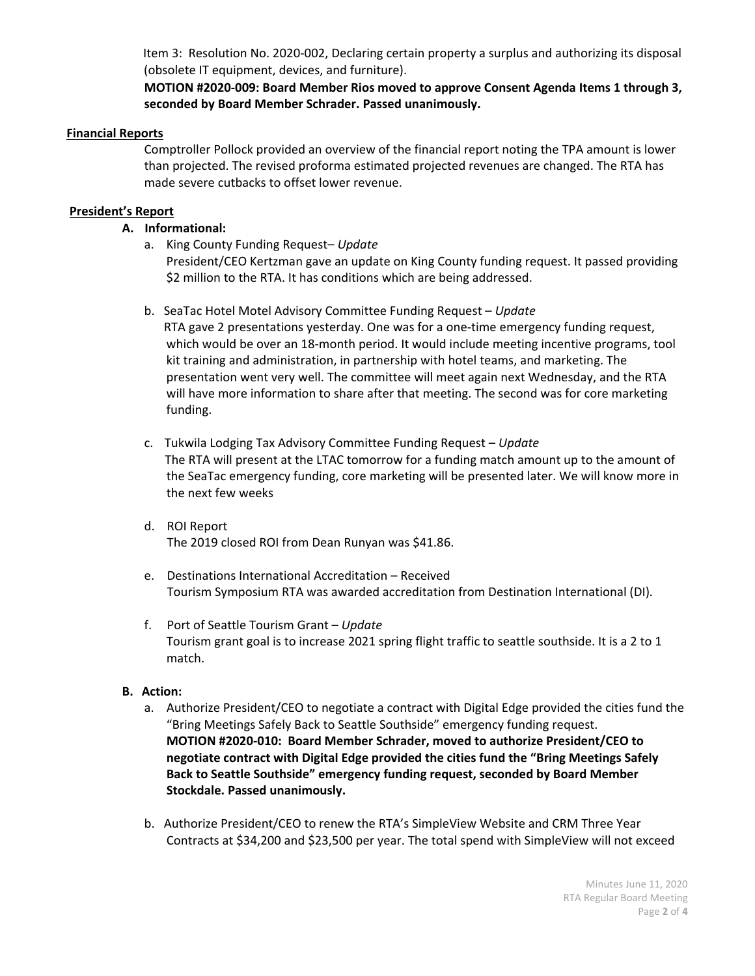Item 3: Resolution No. 2020-002, Declaring certain property a surplus and authorizing its disposal (obsolete IT equipment, devices, and furniture).

# **MOTION #2020-009: Board Member Rios moved to approve Consent Agenda Items 1 through 3, seconded by Board Member Schrader. Passed unanimously.**

### **Financial Reports**

Comptroller Pollock provided an overview of the financial report noting the TPA amount is lower than projected. The revised proforma estimated projected revenues are changed. The RTA has made severe cutbacks to offset lower revenue.

# **President's Report**

# **A. Informational:**

a. King County Funding Request– *Update*

President/CEO Kertzman gave an update on King County funding request. It passed providing \$2 million to the RTA. It has conditions which are being addressed.

b. SeaTac Hotel Motel Advisory Committee Funding Request – *Update*

RTA gave 2 presentations yesterday. One was for a one-time emergency funding request, which would be over an 18-month period. It would include meeting incentive programs, tool kit training and administration, in partnership with hotel teams, and marketing. The presentation went very well. The committee will meet again next Wednesday, and the RTA will have more information to share after that meeting. The second was for core marketing funding.

- c. Tukwila Lodging Tax Advisory Committee Funding Request *Update* The RTA will present at the LTAC tomorrow for a funding match amount up to the amount of the SeaTac emergency funding, core marketing will be presented later. We will know more in the next few weeks
- d. ROI Report The 2019 closed ROI from Dean Runyan was \$41.86.
- e. Destinations International Accreditation Received Tourism Symposium RTA was awarded accreditation from Destination International (DI)*.*
- f. Port of Seattle Tourism Grant *Update* Tourism grant goal is to increase 2021 spring flight traffic to seattle southside. It is a 2 to 1 match.

# **B. Action:**

- a. Authorize President/CEO to negotiate a contract with Digital Edge provided the cities fund the "Bring Meetings Safely Back to Seattle Southside" emergency funding request. **MOTION #2020-010: Board Member Schrader, moved to authorize President/CEO to negotiate contract with Digital Edge provided the cities fund the "Bring Meetings Safely Back to Seattle Southside" emergency funding request, seconded by Board Member Stockdale. Passed unanimously.**
- b. Authorize President/CEO to renew the RTA's SimpleView Website and CRM Three Year Contracts at \$34,200 and \$23,500 per year. The total spend with SimpleView will not exceed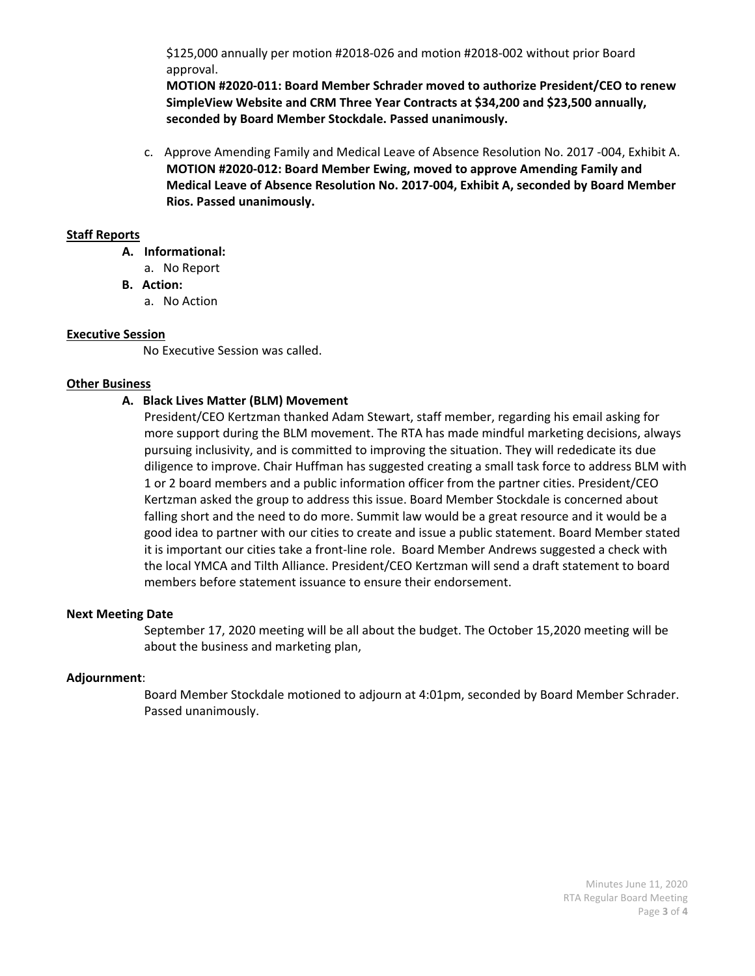\$125,000 annually per motion #2018-026 and motion #2018-002 without prior Board approval.

**MOTION #2020-011: Board Member Schrader moved to authorize President/CEO to renew SimpleView Website and CRM Three Year Contracts at \$34,200 and \$23,500 annually, seconded by Board Member Stockdale. Passed unanimously.** 

c. Approve Amending Family and Medical Leave of Absence Resolution No. 2017 -004, Exhibit A. **MOTION #2020-012: Board Member Ewing, moved to approve Amending Family and Medical Leave of Absence Resolution No. 2017-004, Exhibit A, seconded by Board Member Rios. Passed unanimously.**

### **Staff Reports**

- **A. Informational:**
	- a. No Report
- **B. Action:**
	- a. No Action

### **Executive Session**

No Executive Session was called.

### **Other Business**

### **A. Black Lives Matter (BLM) Movement**

President/CEO Kertzman thanked Adam Stewart, staff member, regarding his email asking for more support during the BLM movement. The RTA has made mindful marketing decisions, always pursuing inclusivity, and is committed to improving the situation. They will rededicate its due diligence to improve. Chair Huffman has suggested creating a small task force to address BLM with 1 or 2 board members and a public information officer from the partner cities. President/CEO Kertzman asked the group to address this issue. Board Member Stockdale is concerned about falling short and the need to do more. Summit law would be a great resource and it would be a good idea to partner with our cities to create and issue a public statement. Board Member stated it is important our cities take a front-line role. Board Member Andrews suggested a check with the local YMCA and Tilth Alliance. President/CEO Kertzman will send a draft statement to board members before statement issuance to ensure their endorsement.

### **Next Meeting Date**

September 17, 2020 meeting will be all about the budget. The October 15,2020 meeting will be about the business and marketing plan,

### **Adjournment**:

Board Member Stockdale motioned to adjourn at 4:01pm, seconded by Board Member Schrader. Passed unanimously.